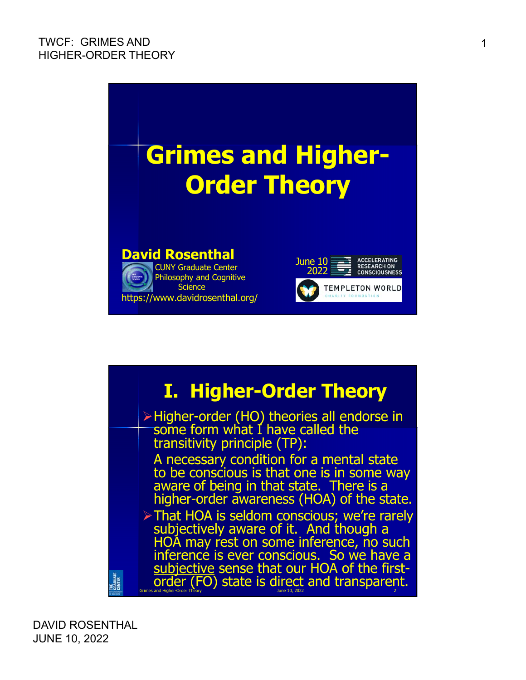

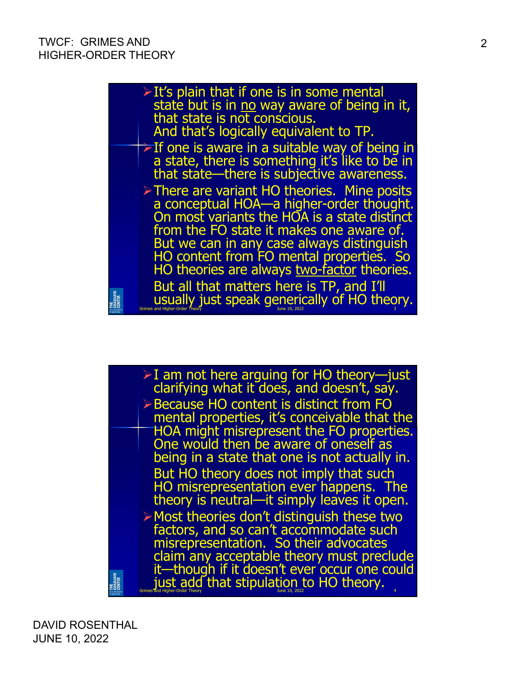

 $\triangleright$  I am not here arguing for HO theory—just clarifying what it does, and doesn't, say. Because HO content is distinct from FO mental properties, it's conceivable that the HOA might misrepresent the FO properties. One would then be aware of oneself as being in a state that one is not actually in. But HO theory does not imply that such HO misrepresentation ever happens. The theory is neutral—it simply leaves it open.  $\triangleright$  Most theories don't distinguish these two factors, and so can't accommodate such misrepresentation. So their advocates claim any acceptable theory must preclude it—though if it doesn't ever occur one could THE<br>Graduate<br>Center just add that stipulation to HO theory.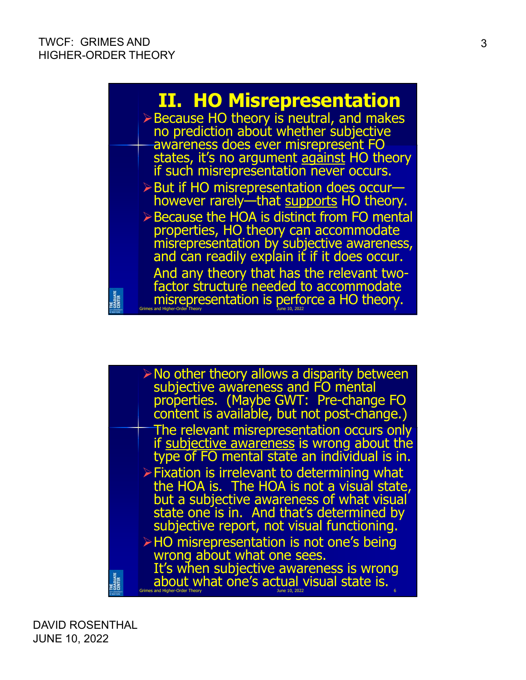

| $\triangleright$ No other theory allows a disparity between<br>subjective awareness and FO mental<br>properties. (Maybe GWT: Pre-change FO<br>content is available, but not post-change.)                                                         |
|---------------------------------------------------------------------------------------------------------------------------------------------------------------------------------------------------------------------------------------------------|
| The relevant misrepresentation occurs only                                                                                                                                                                                                        |
| if subjective awareness is wrong about the<br>type of FO mental state an individual is in.                                                                                                                                                        |
| $\triangleright$ Fixation is irrelevant to determining what<br>the HOA is. The HOA is not a visual state,<br>but a subjective awareness of what visual<br>state one is in. And that's determined by<br>subjective report, not visual functioning. |
| $\triangleright$ HO misrepresentation is not one's being<br>wrong about what one sees.                                                                                                                                                            |
| It's when subjective awareness is wrong<br>about what one's actual visual state is.                                                                                                                                                               |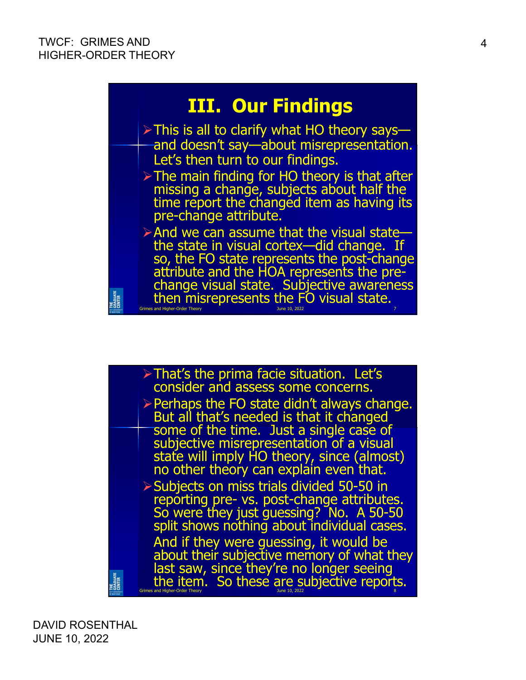THE<br>Graduate<br>Center



- $\triangleright$  This is all to clarify what HO theory saysand doesn't say—about misrepresentation. Let's then turn to our findings.
	- > The main finding for HO theory is that after missing a change, subjects about half the time report the changed item as having its pre-change attribute.
- And we can assume that the visual state the state in visual cortex—did change. If so, the FO state represents the post-change attribute and the HOA represents the prechange visual state. Subjective awareness then misrepresents the FO visual state. Grimes and Higher-Order Theory June 10, 2022 7
- $\triangleright$  That's the prima facie situation. Let's consider and assess some concerns.  $\triangleright$  Perhaps the FO state didn't always change. But all that's needed is that it changed some of the time. Just a single case of subjective misrepresentation of a visual state will imply HO theory, since (almost) no other theory can explain even that. Subjects on miss trials divided 50-50 in reporting pre- vs. post-change attributes. So were they just guessing? No. A 50-50 split shows nothing about individual cases. And if they were guessing, it would be about their subjective memory of what they last saw, since they're no longer seeing TRADUATE<br>Senter<br>Zenter the item. So these are subjective reports.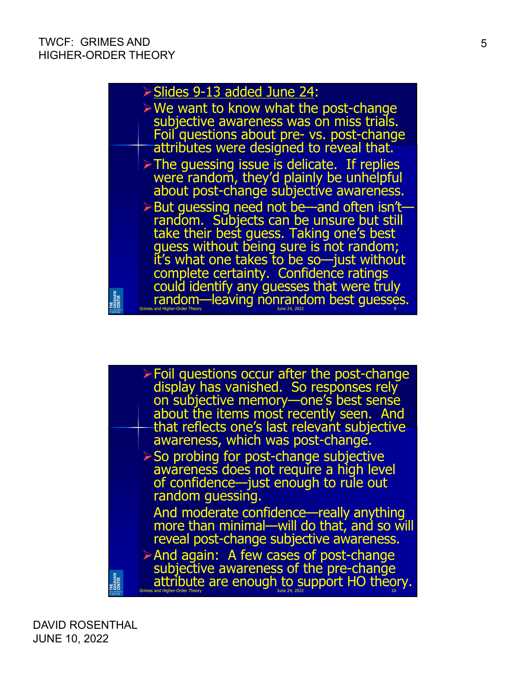

| $\triangleright$ Foil questions occur after the post-change<br>display has vanished. So responses rely |
|--------------------------------------------------------------------------------------------------------|
| on subjective memory—one's best sense                                                                  |
| about the items most recently seen. And<br>that reflects one's last relevant subjective                |
| awareness, which was post-change.                                                                      |
| $\triangleright$ So probing for post-change subjective                                                 |
| awareness does not require a high level                                                                |
| of confidence-just enough to rule out                                                                  |
| random guessing.                                                                                       |
| And moderate confidence—really anything                                                                |
| more than minimal—will do that, and so will                                                            |
| reveal post-change subjective awareness.                                                               |
| $\triangleright$ And again: A few cases of post-change                                                 |
| subjective awareness of the pre-change                                                                 |
| attribute are enough to support HO theory.                                                             |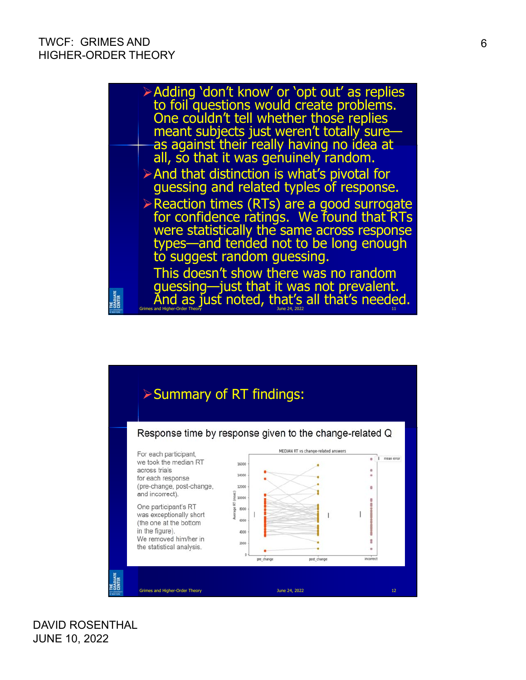

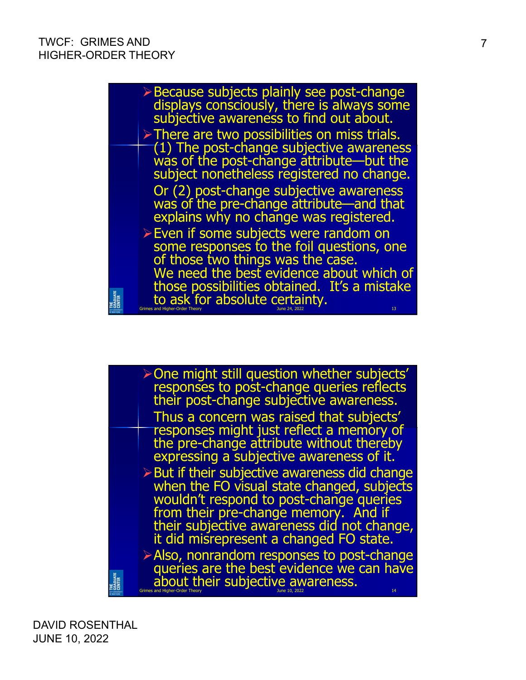

| > One might still question whether subjects'                  |
|---------------------------------------------------------------|
| responses to post-change queries reflects                     |
| their post-change subjective awareness.                       |
| Thus a concern was raised that subjects'                      |
| responses might just reflect a memory of                      |
| the pre-change attribute without thereby                      |
| expressing a subjective awareness of it.                      |
| $\triangleright$ But if their subjective awareness did change |
| when the FO visual state changed, subjects                    |
| wouldn't respond to post-change queries                       |
| from their pre-change memory. And if                          |
| their subjective awareness did not change,                    |
| it did misrepresent a changed FO state.                       |
| $\triangleright$ Also, nonrandom responses to post-change     |
| queries are the best evidence we can have                     |
| about their subjective awareness.                             |
| 14                                                            |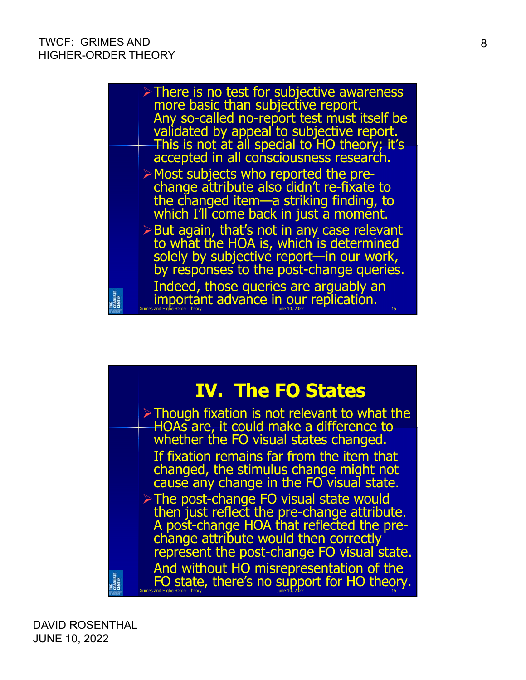

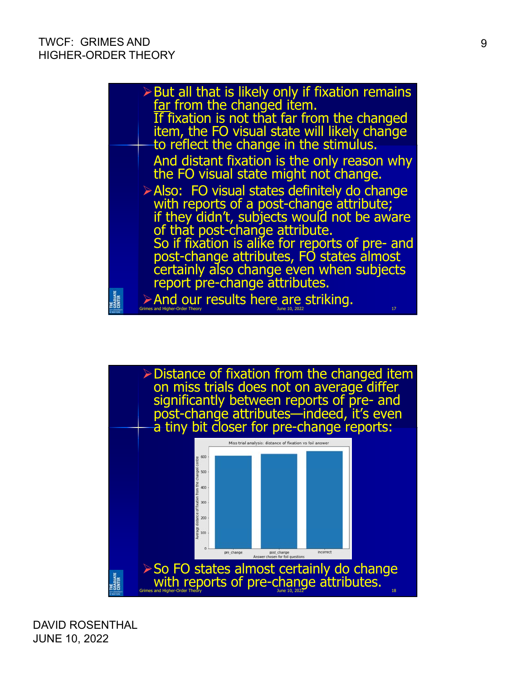